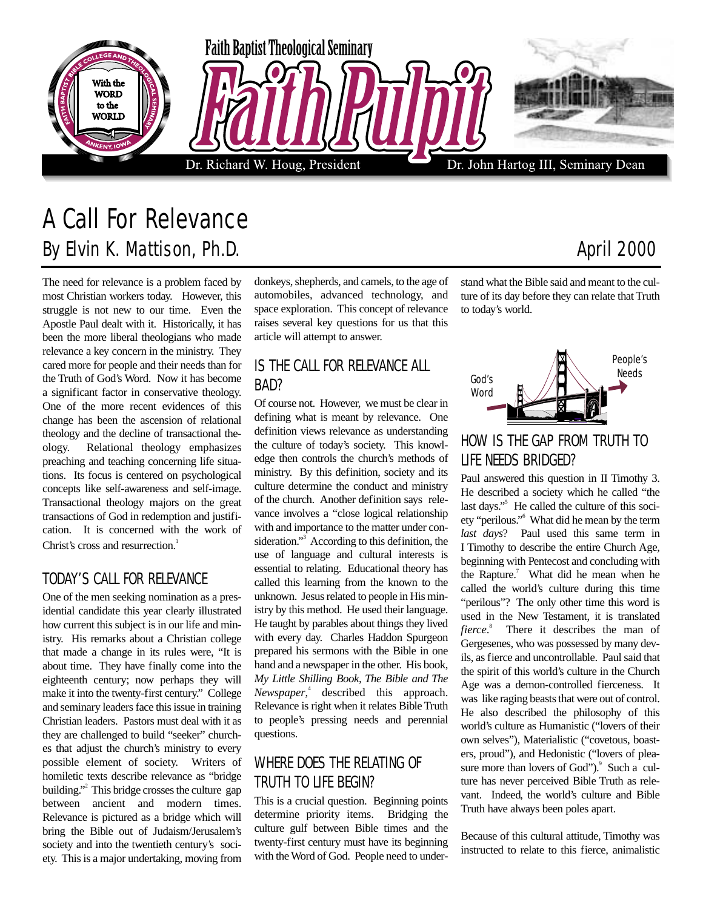

# A Call For Relevance By Elvin K. Mattison, Ph.D. **April 2000 April 2000**

The need for relevance is a problem faced by most Christian workers today. However, this struggle is not new to our time. Even the Apostle Paul dealt with it. Historically, it has been the more liberal theologians who made relevance a key concern in the ministry. They cared more for people and their needs than for the Truth of God's Word. Now it has become a significant factor in conservative theology. One of the more recent evidences of this change has been the ascension of relational theology and the decline of transactional theology. Relational theology emphasizes preaching and teaching concerning life situations. Its focus is centered on psychological concepts like self-awareness and self-image. Transactional theology majors on the great transactions of God in redemption and justification. It is concerned with the work of Christ's cross and resurrection.<sup>1</sup>

#### TODAY'S CALL FOR RELEVANCE

One of the men seeking nomination as a presidential candidate this year clearly illustrated how current this subject is in our life and ministry. His remarks about a Christian college that made a change in its rules were, "It is about time. They have finally come into the eighteenth century; now perhaps they will make it into the twenty-first century." College and seminary leaders face this issue in training Christian leaders. Pastors must deal with it as they are challenged to build "seeker" churches that adjust the church's ministry to every possible element of society. Writers of homiletic texts describe relevance as "bridge building."<sup>2</sup> This bridge crosses the culture gap between ancient and modern times. Relevance is pictured as a bridge which will bring the Bible out of Judaism/Jerusalem's society and into the twentieth century's society. This is a major undertaking, moving from

donkeys, shepherds, and camels, to the age of automobiles, advanced technology, and space exploration. This concept of relevance raises several key questions for us that this article will attempt to answer.

#### IS THE CALL FOR RELEVANCE ALL BAD?

Of course not. However, we must be clear in defining what is meant by relevance. One definition views relevance as understanding the culture of today's society. This knowledge then controls the church's methods of ministry. By this definition, society and its culture determine the conduct and ministry of the church. Another definition says relevance involves a "close logical relationship with and importance to the matter under consideration."<sup>3</sup> According to this definition, the use of language and cultural interests is essential to relating. Educational theory has called this learning from the known to the unknown. Jesus related to people in His ministry by this method. He used their language. He taught by parables about things they lived with every day. Charles Haddon Spurgeon prepared his sermons with the Bible in one hand and a newspaper in the other. His book, *My Little Shilling Book, The Bible and The Newspaper*, 4 described this approach. Relevance is right when it relates Bible Truth to people's pressing needs and perennial questions.

#### WHERE DOES THE RELATING OF TRUTH TO LIFE BEGIN?

This is a crucial question. Beginning points determine priority items. Bridging the culture gulf between Bible times and the twenty-first century must have its beginning with the Word of God. People need to understand what the Bible said and meant to the culture of its day before they can relate that Truth to today's world.

## HOW IS THE GAP FROM TRUTH TO LIFE NEEDS BRIDGED?

God's Word

Paul answered this question in II Timothy 3. He described a society which he called "the last days."<sup>5</sup> He called the culture of this society "perilous."6 What did he mean by the term *last days*? Paul used this same term in I Timothy to describe the entire Church Age, beginning with Pentecost and concluding with the Rapture.<sup>7</sup> What did he mean when he called the world's culture during this time "perilous"? The only other time this word is used in the New Testament, it is translated *fierce*. 8 There it describes the man of Gergesenes, who was possessed by many devils, as fierce and uncontrollable. Paul said that the spirit of this world's culture in the Church Age was a demon-controlled fierceness. It was like raging beasts that were out of control. He also described the philosophy of this world's culture as Humanistic ("lovers of their own selves"), Materialistic ("covetous, boasters, proud"), and Hedonistic ("lovers of pleasure more than lovers of God").<sup>9</sup> Such a culture has never perceived Bible Truth as relevant. Indeed, the world's culture and Bible Truth have always been poles apart.

Because of this cultural attitude, Timothy was instructed to relate to this fierce, animalistic

People's Needs